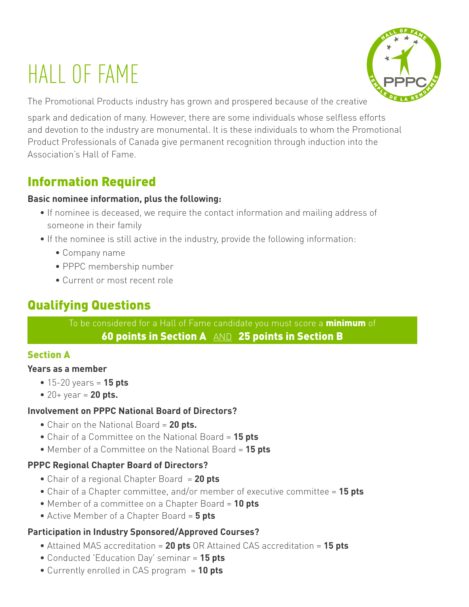# HALL OF FAME



The Promotional Products industry has grown and prospered because of the creative

spark and dedication of many. However, there are some individuals whose selfless efforts and devotion to the industry are monumental. It is these individuals to whom the Promotional Product Professionals of Canada give permanent recognition through induction into the Association's Hall of Fame.

# Information Required

#### **Basic nominee information, plus the following:**

- If nominee is deceased, we require the contact information and mailing address of someone in their family
- If the nominee is still active in the industry, provide the following information:
	- Company name
	- PPPC membership number
	- Current or most recent role

# Qualifying Questions

To be considered for a Hall of Fame candidate you must score a **minimum** of 60 points in Section A  $\text{\tiny AND}$  25 points in Section B

## Section A

#### **Years as a member**

- 15-20 years = **15 pts**
- 20+ year = **20 pts.**

## **Involvement on PPPC National Board of Directors?**

- Chair on the National Board = **20 pts.**
- Chair of a Committee on the National Board = **15 pts**
- Member of a Committee on the National Board = **15 pts**

## **PPPC Regional Chapter Board of Directors?**

- Chair of a regional Chapter Board = **20 pts**
- Chair of a Chapter committee, and/or member of executive committee = **15 pts**
- Member of a committee on a Chapter Board = **10 pts**
- Active Member of a Chapter Board = **5 pts**

## **Participation in Industry Sponsored/Approved Courses?**

- Attained MAS accreditation = **20 pts** OR Attained CAS accreditation = **15 pts**
- Conducted 'Education Day' seminar = **15 pts**
- Currently enrolled in CAS program = **10 pts**